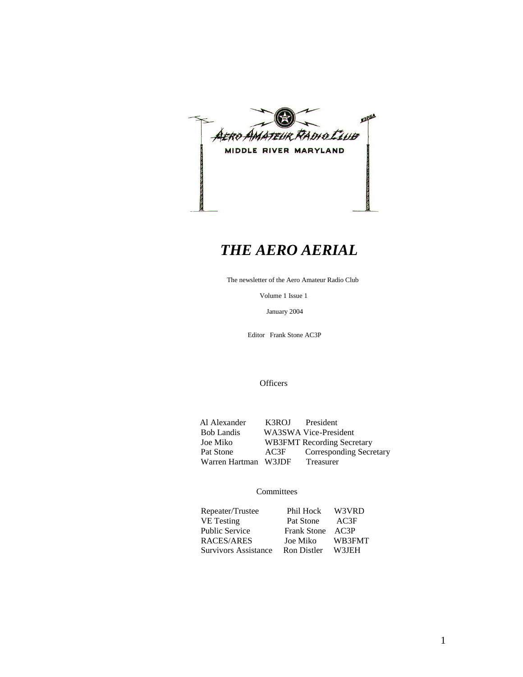

# *THE AERO AERIAL*

The newsletter of the Aero Amateur Radio Club

Volume 1 Issue 1

January 2004

Editor Frank Stone AC3P

**Officers** 

Al Alexander K3ROJ President<br>Bob Landis WA3SWA Vice-Presi Bob Landis WA3SWA Vice-President<br>Joe Miko WB3FMT Recording Secre WB3FMT Recording Secretary Pat Stone AC3F Corresponding Secretary<br>Warren Hartman W3JDF Treasurer Warren Hartman W3JDF

### **Committees**

| Repeater/Trustee                       | Phil Hock W3VRD  |        |
|----------------------------------------|------------------|--------|
| VE Testing                             | Pat Stone        | – AC3F |
| <b>Public Service</b>                  | Frank Stone AC3P |        |
| RACES/ARES                             | Joe Miko         | WB3FMT |
| Survivors Assistance Ron Distler W3JEH |                  |        |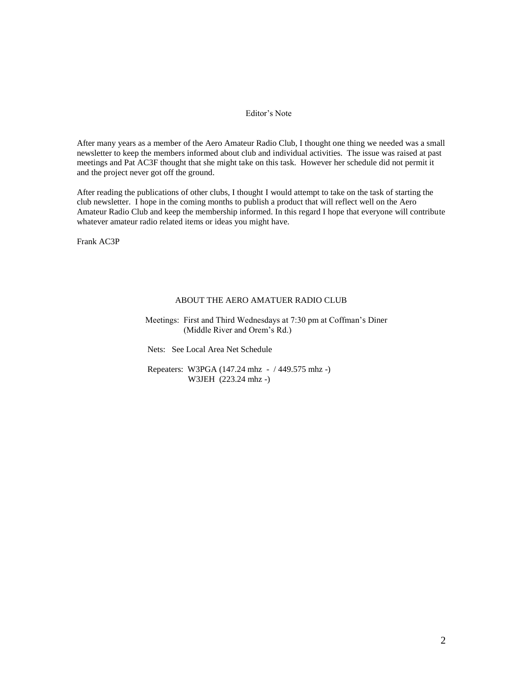### Editor's Note

After many years as a member of the Aero Amateur Radio Club, I thought one thing we needed was a small newsletter to keep the members informed about club and individual activities. The issue was raised at past meetings and Pat AC3F thought that she might take on this task. However her schedule did not permit it and the project never got off the ground.

After reading the publications of other clubs, I thought I would attempt to take on the task of starting the club newsletter. I hope in the coming months to publish a product that will reflect well on the Aero Amateur Radio Club and keep the membership informed. In this regard I hope that everyone will contribute whatever amateur radio related items or ideas you might have.

Frank AC3P

#### ABOUT THE AERO AMATUER RADIO CLUB

 Meetings: First and Third Wednesdays at 7:30 pm at Coffman's Diner (Middle River and Orem's Rd.)

Nets: See Local Area Net Schedule

 Repeaters: W3PGA (147.24 mhz - / 449.575 mhz -) W3JEH (223.24 mhz -)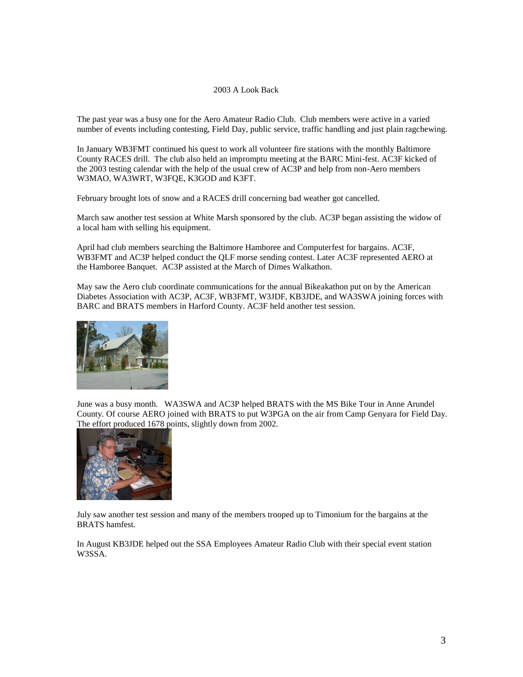#### 2003 A Look Back

The past year was a busy one for the Aero Amateur Radio Club. Club members were active in a varied number of events including contesting, Field Day, public service, traffic handling and just plain ragchewing.

In January WB3FMT continued his quest to work all volunteer fire stations with the monthly Baltimore County RACES drill. The club also held an impromptu meeting at the BARC Mini-fest. AC3F kicked of the 2003 testing calendar with the help of the usual crew of AC3P and help from non-Aero members W3MAO, WA3WRT, W3FQE, K3GOD and K3FT.

February brought lots of snow and a RACES drill concerning bad weather got cancelled.

March saw another test session at White Marsh sponsored by the club. AC3P began assisting the widow of a local ham with selling his equipment.

April had club members searching the Baltimore Hamboree and Computerfest for bargains. AC3F, WB3FMT and AC3P helped conduct the QLF morse sending contest. Later AC3F represented AERO at the Hamboree Banquet. AC3P assisted at the March of Dimes Walkathon.

May saw the Aero club coordinate communications for the annual Bikeakathon put on by the American Diabetes Association with AC3P, AC3F, WB3FMT, W3JDF, KB3JDE, and WA3SWA joining forces with BARC and BRATS members in Harford County. AC3F held another test session.



June was a busy month. WA3SWA and AC3P helped BRATS with the MS Bike Tour in Anne Arundel County. Of course AERO joined with BRATS to put W3PGA on the air from Camp Genyara for Field Day. The effort produced 1678 points, slightly down from 2002.



July saw another test session and many of the members trooped up to Timonium for the bargains at the BRATS hamfest.

In August KB3JDE helped out the SSA Employees Amateur Radio Club with their special event station W3SSA.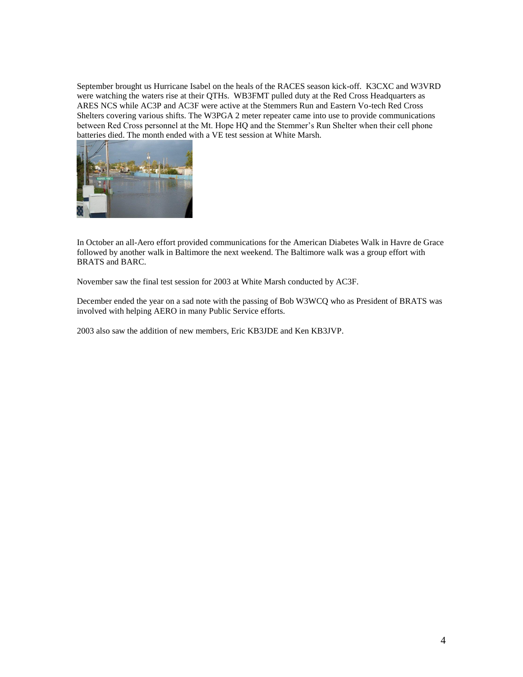September brought us Hurricane Isabel on the heals of the RACES season kick-off. K3CXC and W3VRD were watching the waters rise at their QTHs. WB3FMT pulled duty at the Red Cross Headquarters as ARES NCS while AC3P and AC3F were active at the Stemmers Run and Eastern Vo-tech Red Cross Shelters covering various shifts. The W3PGA 2 meter repeater came into use to provide communications between Red Cross personnel at the Mt. Hope HQ and the Stemmer's Run Shelter when their cell phone batteries died. The month ended with a VE test session at White Marsh.



In October an all-Aero effort provided communications for the American Diabetes Walk in Havre de Grace followed by another walk in Baltimore the next weekend. The Baltimore walk was a group effort with BRATS and BARC.

November saw the final test session for 2003 at White Marsh conducted by AC3F.

December ended the year on a sad note with the passing of Bob W3WCQ who as President of BRATS was involved with helping AERO in many Public Service efforts.

2003 also saw the addition of new members, Eric KB3JDE and Ken KB3JVP.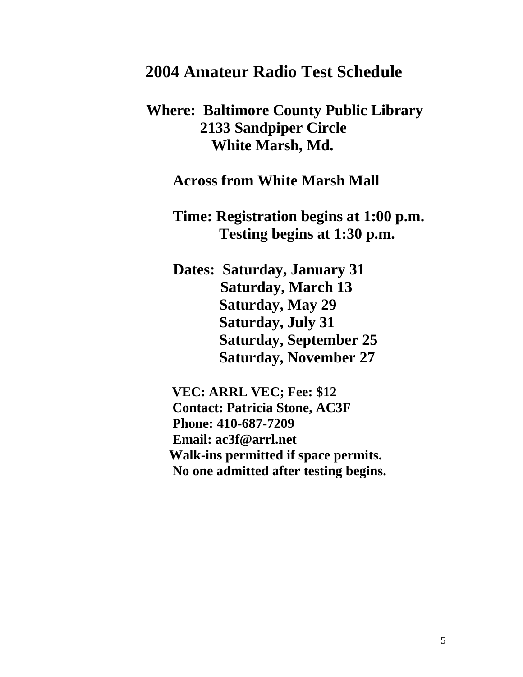# **2004 Amateur Radio Test Schedule**

# **Where: Baltimore County Public Library 2133 Sandpiper Circle White Marsh, Md.**

## **Across from White Marsh Mall**

**Time: Registration begins at 1:00 p.m. Testing begins at 1:30 p.m.** 

 **Dates: Saturday, January 31 Saturday, March 13 Saturday, May 29 Saturday, July 31 Saturday, September 25 Saturday, November 27**

 **VEC: ARRL VEC; Fee: \$12 Contact: Patricia Stone, AC3F Phone: 410-687-7209 Email: ac3f@arrl.net Walk-ins permitted if space permits. No one admitted after testing begins.**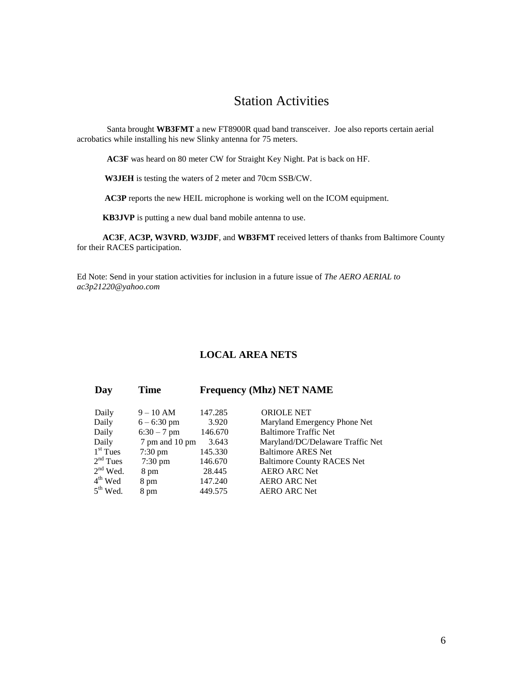## Station Activities

 Santa brought **WB3FMT** a new FT8900R quad band transceiver. Joe also reports certain aerial acrobatics while installing his new Slinky antenna for 75 meters.

**AC3F** was heard on 80 meter CW for Straight Key Night. Pat is back on HF.

**W3JEH** is testing the waters of 2 meter and 70cm SSB/CW.

**AC3P** reports the new HEIL microphone is working well on the ICOM equipment.

**KB3JVP** is putting a new dual band mobile antenna to use.

 **AC3F**, **AC3P, W3VRD**, **W3JDF**, and **WB3FMT** received letters of thanks from Baltimore County for their RACES participation.

Ed Note: Send in your station activities for inclusion in a future issue of *The AERO AERIAL to ac3p21220@yahoo.com*

### **LOCAL AREA NETS**

### **Day Time Frequency (Mhz) NET NAME**

| Daily         | $9 - 10$ AM       | 147.285 | <b>ORIOLE NET</b>                 |
|---------------|-------------------|---------|-----------------------------------|
| Daily         | $6 - 6:30$ pm     | 3.920   | Maryland Emergency Phone Net      |
| Daily         | $6:30 - 7$ pm     | 146.670 | <b>Baltimore Traffic Net</b>      |
| Daily         | 7 pm and 10 pm    | 3.643   | Maryland/DC/Delaware Traffic Net  |
| $1st$ Tues    | $7:30 \text{ pm}$ | 145.330 | <b>Baltimore ARES Net</b>         |
| $2nd$ Tues    | $7:30 \text{ pm}$ | 146.670 | <b>Baltimore County RACES Net</b> |
| $2nd$ Wed.    | 8 pm              | 28.445  | <b>AERO ARC Net</b>               |
| $4th$ Wed     | 8 pm              | 147.240 | <b>AERO ARC Net</b>               |
| $5^{th}$ Wed. | 8 pm              | 449.575 | <b>AERO ARC Net</b>               |
|               |                   |         |                                   |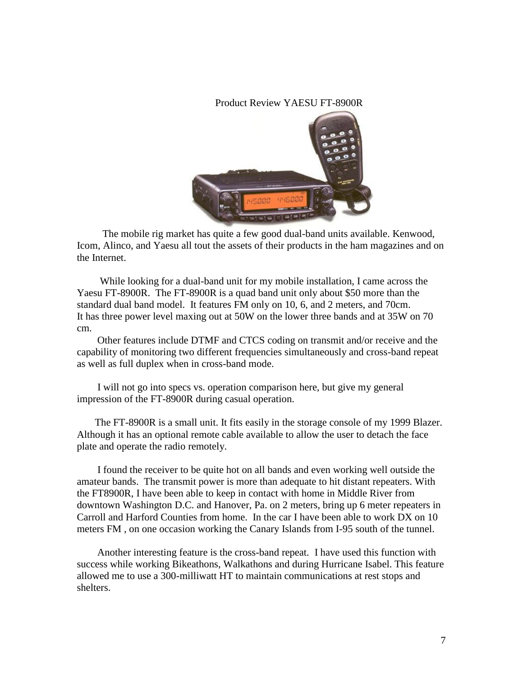### Product Review YAESU FT-8900R



 The mobile rig market has quite a few good dual-band units available. Kenwood, Icom, Alinco, and Yaesu all tout the assets of their products in the ham magazines and on the Internet.

 While looking for a dual-band unit for my mobile installation, I came across the Yaesu FT-8900R. The FT-8900R is a quad band unit only about \$50 more than the standard dual band model. It features FM only on 10, 6, and 2 meters, and 70cm. It has three power level maxing out at 50W on the lower three bands and at 35W on 70 cm.

 Other features include DTMF and CTCS coding on transmit and/or receive and the capability of monitoring two different frequencies simultaneously and cross-band repeat as well as full duplex when in cross-band mode.

 I will not go into specs vs. operation comparison here, but give my general impression of the FT-8900R during casual operation.

 The FT-8900R is a small unit. It fits easily in the storage console of my 1999 Blazer. Although it has an optional remote cable available to allow the user to detach the face plate and operate the radio remotely.

 I found the receiver to be quite hot on all bands and even working well outside the amateur bands. The transmit power is more than adequate to hit distant repeaters. With the FT8900R, I have been able to keep in contact with home in Middle River from downtown Washington D.C. and Hanover, Pa. on 2 meters, bring up 6 meter repeaters in Carroll and Harford Counties from home. In the car I have been able to work DX on 10 meters FM , on one occasion working the Canary Islands from I-95 south of the tunnel.

 Another interesting feature is the cross-band repeat. I have used this function with success while working Bikeathons, Walkathons and during Hurricane Isabel. This feature allowed me to use a 300-milliwatt HT to maintain communications at rest stops and shelters.